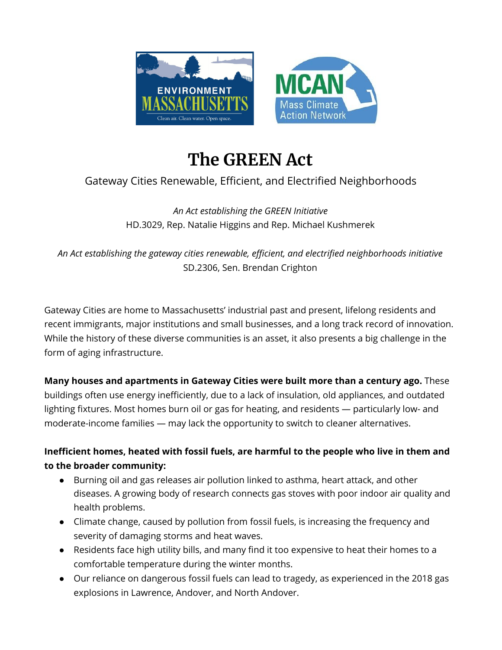

# **The GREEN Act**

## Gateway Cities Renewable, Efficient, and Electrified Neighborhoods

*An Act establishing the GREEN Initiative* HD.3029, Rep. Natalie Higgins and Rep. Michael Kushmerek

*An Act establishing the gateway cities renewable, efficient, and electrified neighborhoods initiative* SD.2306, Sen. Brendan Crighton

Gateway Cities are home to Massachusetts' industrial past and present, lifelong residents and recent immigrants, major institutions and small businesses, and a long track record of innovation. While the history of these diverse communities is an asset, it also presents a big challenge in the form of aging infrastructure.

**Many houses and apartments in Gateway Cities were built more than a century ago.** These buildings often use energy inefficiently, due to a lack of insulation, old appliances, and outdated lighting fixtures. Most homes burn oil or gas for heating, and residents — particularly low- and moderate-income families — may lack the opportunity to switch to cleaner alternatives.

#### **Inefficient homes, heated with fossil fuels, are harmful to the people who live in them and to the broader community:**

- Burning oil and gas releases air pollution linked to asthma, heart attack, and other diseases. A growing body of research connects gas stoves with poor indoor air quality and health problems.
- Climate change, caused by pollution from fossil fuels, is increasing the frequency and severity of damaging storms and heat waves.
- Residents face high utility bills, and many find it too expensive to heat their homes to a comfortable temperature during the winter months.
- Our reliance on dangerous fossil fuels can lead to tragedy, as experienced in the 2018 gas explosions in Lawrence, Andover, and North Andover.